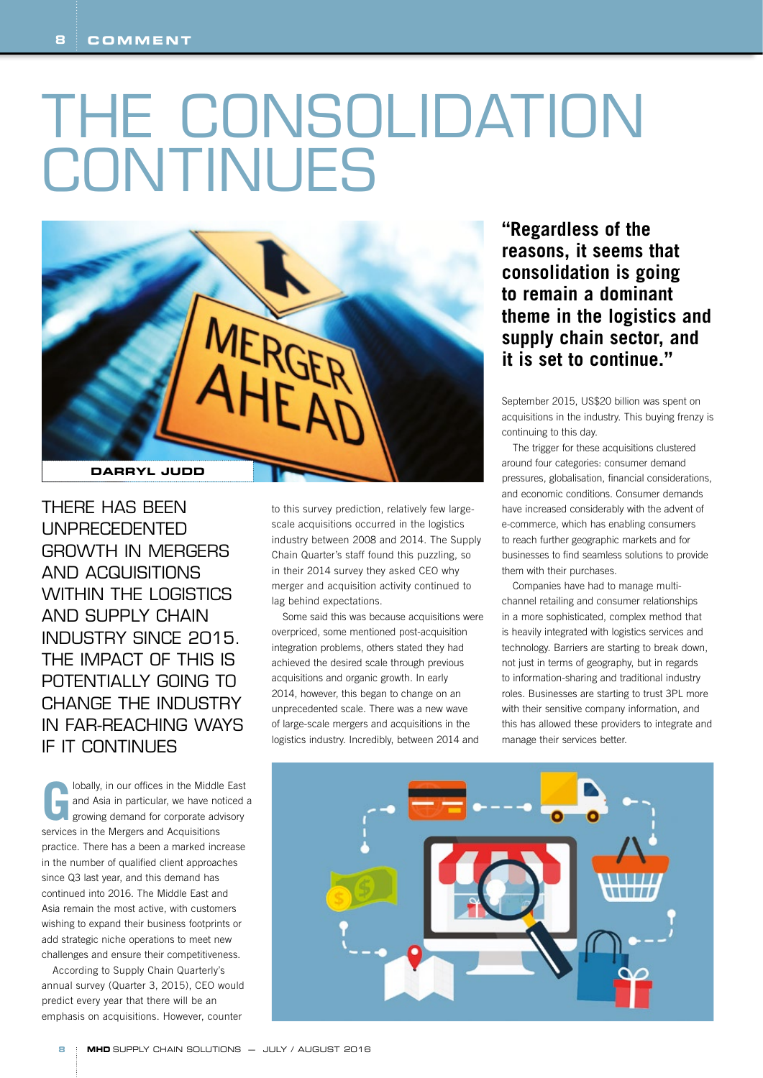## THE CONSOLIDATION CONTINUES



THERE HAS BEEN UNPRECEDENTED GROWTH IN MERGERS AND ACQUISITIONS WITHIN THE LOGISTICS AND SUPPLY CHAIN INDUSTRY SINCE 2015. THE IMPACT OF THIS IS POTENTIALLY GOING TO CHANGE THE INDUSTRY IN FAR-REACHING WAYS IF IT CONTINUES

**G**lobally, in our offices in the Middle East<br>and Asia in particular, we have noticed a<br>growing demand for corporate advisory and Asia in particular, we have noticed a growing demand for corporate advisory services in the Mergers and Acquisitions practice. There has a been a marked increase in the number of qualified client approaches since Q3 last year, and this demand has continued into 2016. The Middle East and Asia remain the most active, with customers wishing to expand their business footprints or add strategic niche operations to meet new challenges and ensure their competitiveness.

According to Supply Chain Quarterly's annual survey (Quarter 3, 2015), CEO would predict every year that there will be an emphasis on acquisitions. However, counter

to this survey prediction, relatively few largescale acquisitions occurred in the logistics industry between 2008 and 2014. The Supply Chain Quarter's staff found this puzzling, so in their 2014 survey they asked CEO why merger and acquisition activity continued to lag behind expectations.

Some said this was because acquisitions were overpriced, some mentioned post-acquisition integration problems, others stated they had achieved the desired scale through previous acquisitions and organic growth. In early 2014, however, this began to change on an unprecedented scale. There was a new wave of large-scale mergers and acquisitions in the logistics industry. Incredibly, between 2014 and

**"Regardless of the reasons, it seems that consolidation is going to remain a dominant theme in the logistics and supply chain sector, and it is set to continue."**

September 2015, US\$20 billion was spent on acquisitions in the industry. This buying frenzy is continuing to this day.

The trigger for these acquisitions clustered around four categories: consumer demand pressures, globalisation, financial considerations, and economic conditions. Consumer demands have increased considerably with the advent of e-commerce, which has enabling consumers to reach further geographic markets and for businesses to find seamless solutions to provide them with their purchases.

Companies have had to manage multichannel retailing and consumer relationships in a more sophisticated, complex method that is heavily integrated with logistics services and technology. Barriers are starting to break down, not just in terms of geography, but in regards to information-sharing and traditional industry roles. Businesses are starting to trust 3PL more with their sensitive company information, and this has allowed these providers to integrate and manage their services better.